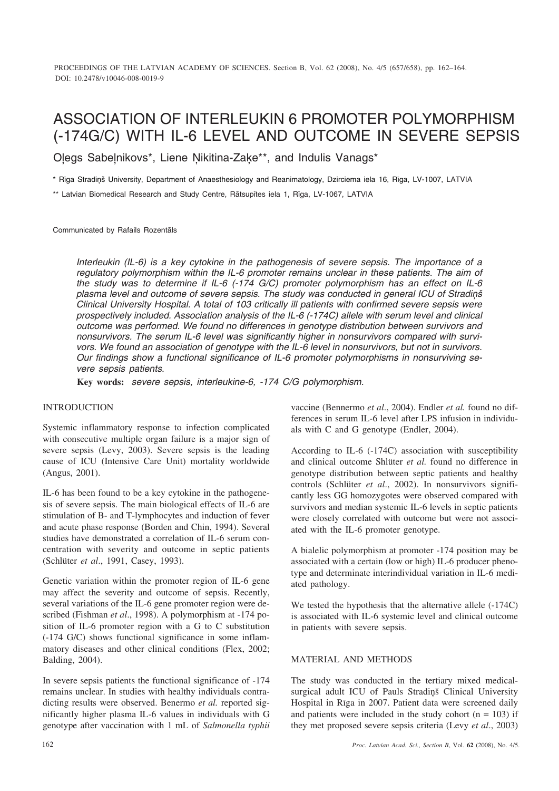# ASSOCIATION OF INTERLEUKIN 6 PROMOTER POLYMORPHISM (-174G/C) WITH IL-6 LEVEL AND OUTCOME IN SEVERE SEPSIS

Oļegs Sabeļnikovs\*, Liene Ņikitina-Zaķe\*\*, and Indulis Vanags\*

\* Rīga Stradiņš University, Department of Anaesthesiology and Reanimatology, Dzirciema iela 16, Rīga, LV-1007, LATVIA

\*\* Latvian Biomedical Research and Study Centre, Râtsupîtes iela 1, Rîga, LV-1067, LATVIA

Communicated by Rafails Rozentâls

*Interleukin (IL-6) is a key cytokine in the pathogenesis of severe sepsis. The importance of a regulatory polymorphism within the IL-6 promoter remains unclear in these patients. The aim of the study was to determine if IL-6 (-174 G/C) promoter polymorphism has an effect on IL-6 plasma level and outcome of severe sepsis. The study was conducted in general ICU of Stradiòð Clinical University Hospital. A total of 103 critically ill patients with confirmed severe sepsis were prospectively included. Association analysis of the IL-6 (-174C) allele with serum level and clinical outcome was performed. We found no differences in genotype distribution between survivors and nonsurvivors. The serum IL-6 level was significantly higher in nonsurvivors compared with survivors. We found an association of genotype with the IL-6 level in nonsurvivors, but not in survivors. Our findings show a functional significance of IL-6 promoter polymorphisms in nonsurviving severe sepsis patients.*

**Key words:** *severe sepsis, interleukine-6, -174 C/G polymorphism.*

# **INTRODUCTION**

Systemic inflammatory response to infection complicated with consecutive multiple organ failure is a major sign of severe sepsis (Levy, 2003). Severe sepsis is the leading cause of ICU (Intensive Care Unit) mortality worldwide (Angus, 2001).

IL-6 has been found to be a key cytokine in the pathogenesis of severe sepsis. The main biological effects of IL-6 are stimulation of B- and T-lymphocytes and induction of fever and acute phase response (Borden and Chin, 1994). Several studies have demonstrated a correlation of IL-6 serum concentration with severity and outcome in septic patients (Schlüter *et al*., 1991, Casey, 1993).

Genetic variation within the promoter region of IL-6 gene may affect the severity and outcome of sepsis. Recently, several variations of the IL-6 gene promoter region were described (Fishman *et al*., 1998). A polymorphism at -174 position of IL-6 promoter region with a G to C substitution (-174 G/C) shows functional significance in some inflammatory diseases and other clinical conditions (Flex, 2002; Balding, 2004).

In severe sepsis patients the functional significance of -174 remains unclear. In studies with healthy individuals contradicting results were observed. Benermo *et al.* reported significantly higher plasma IL-6 values in individuals with G genotype after vaccination with 1 mL of *Salmonella typhii* vaccine (Bennermo *et al*., 2004). Endler *et al.* found no differences in serum IL-6 level after LPS infusion in individuals with C and G genotype (Endler, 2004).

According to IL-6 (-174C) association with susceptibility and clinical outcome Shlüter *et al.* found no difference in genotype distribution between septic patients and healthy controls (Schlüter *et al*., 2002). In nonsurvivors significantly less GG homozygotes were observed compared with survivors and median systemic IL-6 levels in septic patients were closely correlated with outcome but were not associated with the IL-6 promoter genotype.

A bialelic polymorphism at promoter -174 position may be associated with a certain (low or high) IL-6 producer phenotype and determinate interindividual variation in IL-6 mediated pathology.

We tested the hypothesis that the alternative allele (-174C) is associated with IL-6 systemic level and clinical outcome in patients with severe sepsis.

## MATERIAL AND METHODS

The study was conducted in the tertiary mixed medicalsurgical adult ICU of Pauls Stradinš Clinical University Hospital in Rîga in 2007. Patient data were screened daily and patients were included in the study cohort ( $n = 103$ ) if they met proposed severe sepsis criteria (Levy *et al*., 2003)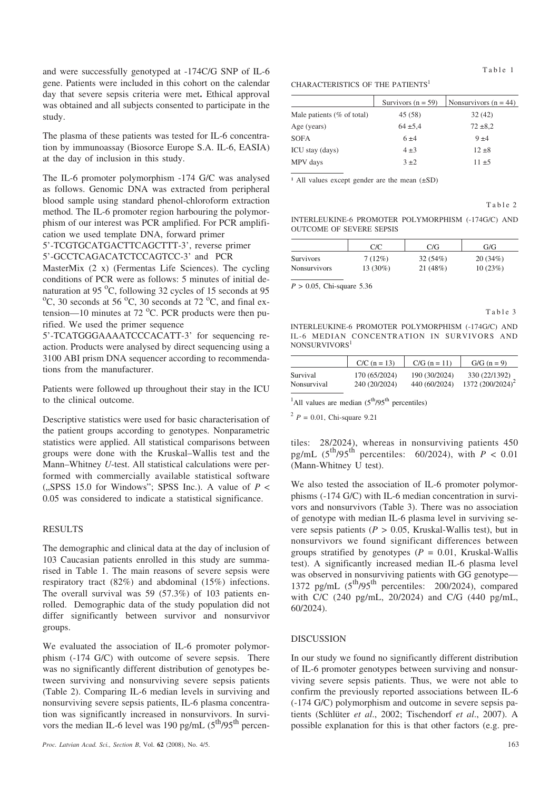and were successfully genotyped at -174C/G SNP of IL-6 gene. Patients were included in this cohort on the calendar day that severe sepsis criteria were met**.** Ethical approval was obtained and all subjects consented to participate in the study.

The plasma of these patients was tested for IL-6 concentration by immunoassay (Biosorce Europe S.A. IL-6, EASIA) at the day of inclusion in this study.

The IL-6 promoter polymorphism -174 G/C was analysed as follows. Genomic DNA was extracted from peripheral blood sample using standard phenol-chloroform extraction method. The IL-6 promoter region harbouring the polymorphism of our interest was PCR amplified. For PCR amplification we used template DNA, forward primer

5'-TCGTGCATGACTTCAGCTTT-3', reverse primer

5'-GCCTCAGACATCTCCAGTCC-3' and PCR

MasterMix (2 x) (Fermentas Life Sciences). The cycling conditions of PCR were as follows: 5 minutes of initial denaturation at 95  $^{\circ}$ C, following 32 cycles of 15 seconds at 95  $^{\circ}$ C 30 seconds at 72  $^{\circ}$ C and final ex C, 30 seconds at 56  $^{\circ}$ C, 30 seconds at 72  $^{\circ}$ C, and final extension—10 minutes at  $72 \text{ °C}$ . PCR products were then purified. We used the primer sequence

5'-TCATGGGAAAATCCCACATT-3' for sequencing reaction. Products were analysed by direct sequencing using a 3100 ABI prism DNA sequencer according to recommendations from the manufacturer.

Patients were followed up throughout their stay in the ICU to the clinical outcome.

Descriptive statistics were used for basic characterisation of the patient groups according to genotypes. Nonparametric statistics were applied. All statistical comparisons between groups were done with the Kruskal–Wallis test and the Mann–Whitney *U*-test. All statistical calculations were performed with commercially available statistical software ( $\text{SPSS}$  15.0 for Windows"; SPSS Inc.). A value of  $P \leq$ 0.05 was considered to indicate a statistical significance.

## RESULTS

The demographic and clinical data at the day of inclusion of 103 Caucasian patients enrolled in this study are summarised in Table 1. The main reasons of severe sepsis were respiratory tract (82%) and abdominal (15%) infections. The overall survival was 59 (57.3%) of 103 patients enrolled. Demographic data of the study population did not differ significantly between survivor and nonsurvivor groups.

We evaluated the association of IL-6 promoter polymorphism (-174 G/C) with outcome of severe sepsis. There was no significantly different distribution of genotypes between surviving and nonsurviving severe sepsis patients (Table 2). Comparing IL-6 median levels in surviving and nonsurviving severe sepsis patients, IL-6 plasma concentration was significantly increased in nonsurvivors. In survivors the median IL-6 level was 190 pg/mL  $(5^{th}/95^{th})$  percen-

#### CHARACTERISTICS OF THE PATIENTS<sup>1</sup>

|                               | Survivors $(n = 59)$ | Nonsurvivors ( $n = 44$ ) |
|-------------------------------|----------------------|---------------------------|
| Male patients ( $%$ of total) | 45 (58)              | 32(42)                    |
| Age (years)                   | $64 \pm 5.4$         | $72 \pm 8.2$              |
| <b>SOFA</b>                   | $6 + 4$              | 9±4                       |
| ICU stay (days)               | $4\pm3$              | $12 \pm 8$                |
| MPV days                      | 3±2                  | $11 + 5$                  |

 $1$  All values except gender are the mean ( $\pm$ SD)

Table 2

INTERLEUKINE-6 PROMOTER POLYMORPHISM (-174G/C) AND OUTCOME OF SEVERE SEPSIS

|                     | C/C       | C/G     | G/G     |
|---------------------|-----------|---------|---------|
| <b>Survivors</b>    | $7(12\%)$ | 32(54%) | 20(34%) |
| <b>Nonsurvivors</b> | 13 (30%)  | 21(48%) | 10(23%) |

*P* > 0.05, Chi-square 5.36

Table 3 INTERLEUKINE-6 PROMOTER POLYMORPHISM (-174G/C) AND IL-6 MEDIAN CONCENTRATION IN SURVIVORS AND NONSURVIVORS<sup>1</sup>

|             | $C/C$ (n = 13) | $C/G$ (n = 11) | $G/G (n = 9)$                                 |
|-------------|----------------|----------------|-----------------------------------------------|
| Survival    | 170 (65/2024)  | 190 (30/2024)  | 330 (22/1392)<br>1372 (200/2024) <sup>2</sup> |
| Nonsurvival | 240 (20/2024)  | 440 (60/2024)  |                                               |

<sup>1</sup>All values are median  $(5<sup>th</sup>/95<sup>th</sup>$  percentiles)

 $^{2}$  *P* = 0.01, Chi-square 9.21

tiles: 28/2024), whereas in nonsurviving patients 450 pg/mL  $(5^{th}/95^{th})$  percentiles:  $60/2024$ ), with  $P < 0.01$ (Mann-Whitney U test).

We also tested the association of IL-6 promoter polymorphisms (-174 G/C) with IL-6 median concentration in survivors and nonsurvivors (Table 3). There was no association of genotype with median IL-6 plasma level in surviving severe sepsis patients (*P >* 0.05, Kruskal-Wallis test), but in nonsurvivors we found significant differences between groups stratified by genotypes  $(P = 0.01$ , Kruskal-Wallis test). A significantly increased median IL-6 plasma level was observed in nonsurviving patients with GG genotype— 1372 pg/mL  $(5<sup>th</sup>/95<sup>th</sup>$  percentiles: 200/2024), compared with C/C (240 pg/mL, 20/2024) and C/G (440 pg/mL, 60/2024).

#### **DISCUSSION**

In our study we found no significantly different distribution of IL-6 promoter genotypes between surviving and nonsurviving severe sepsis patients. Thus, we were not able to confirm the previously reported associations between IL-6 (-174 G/C) polymorphism and outcome in severe sepsis patients (Schlüter *et al*., 2002; Tischendorf *et al*., 2007). A possible explanation for this is that other factors (e.g. pre